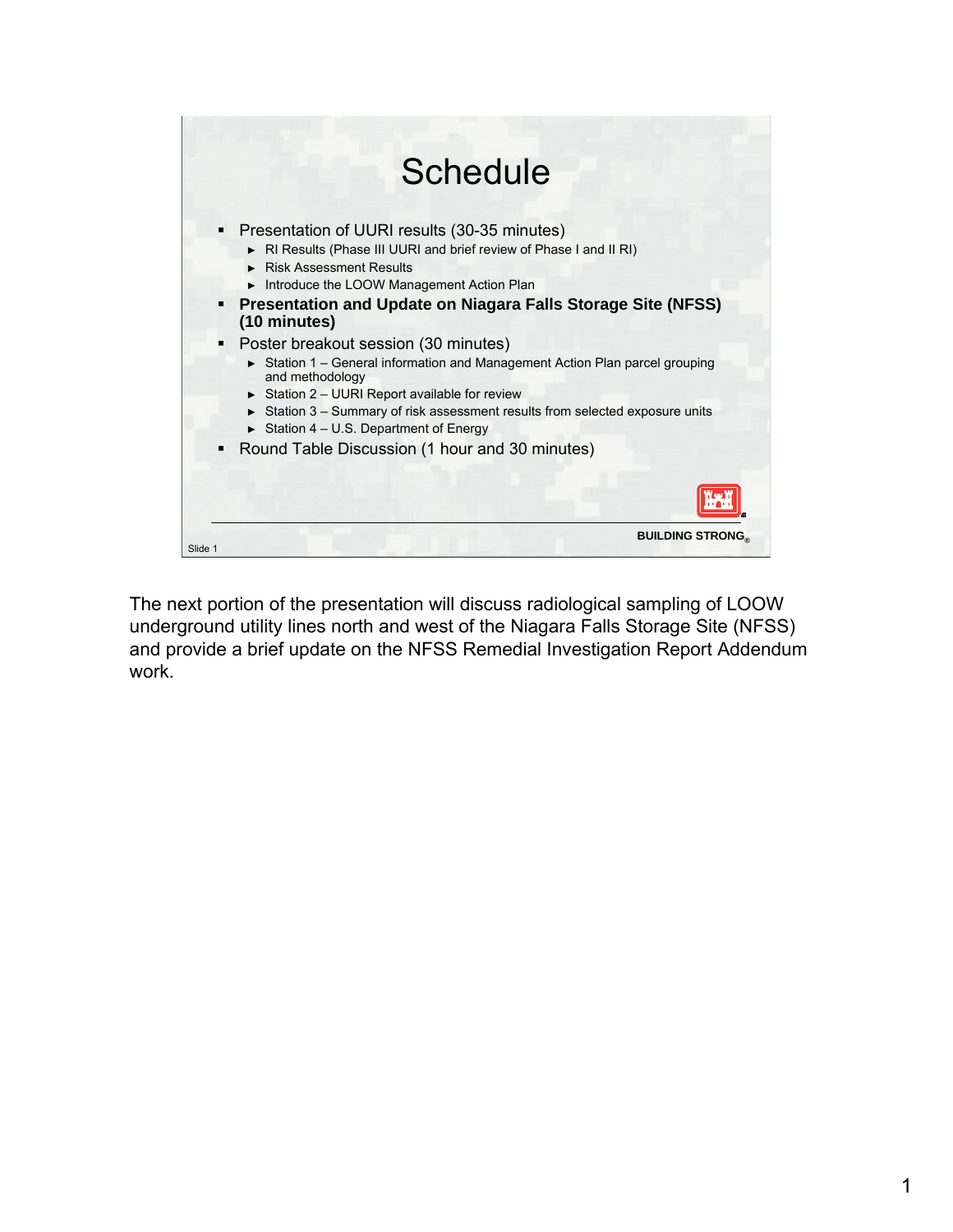

The next portion of the presentation will discuss radiological sampling of LOOW underground utility lines north and west of the Niagara Falls Storage Site (NFSS) and provide a brief update on the NFSS Remedial Investigation Report Addendum work.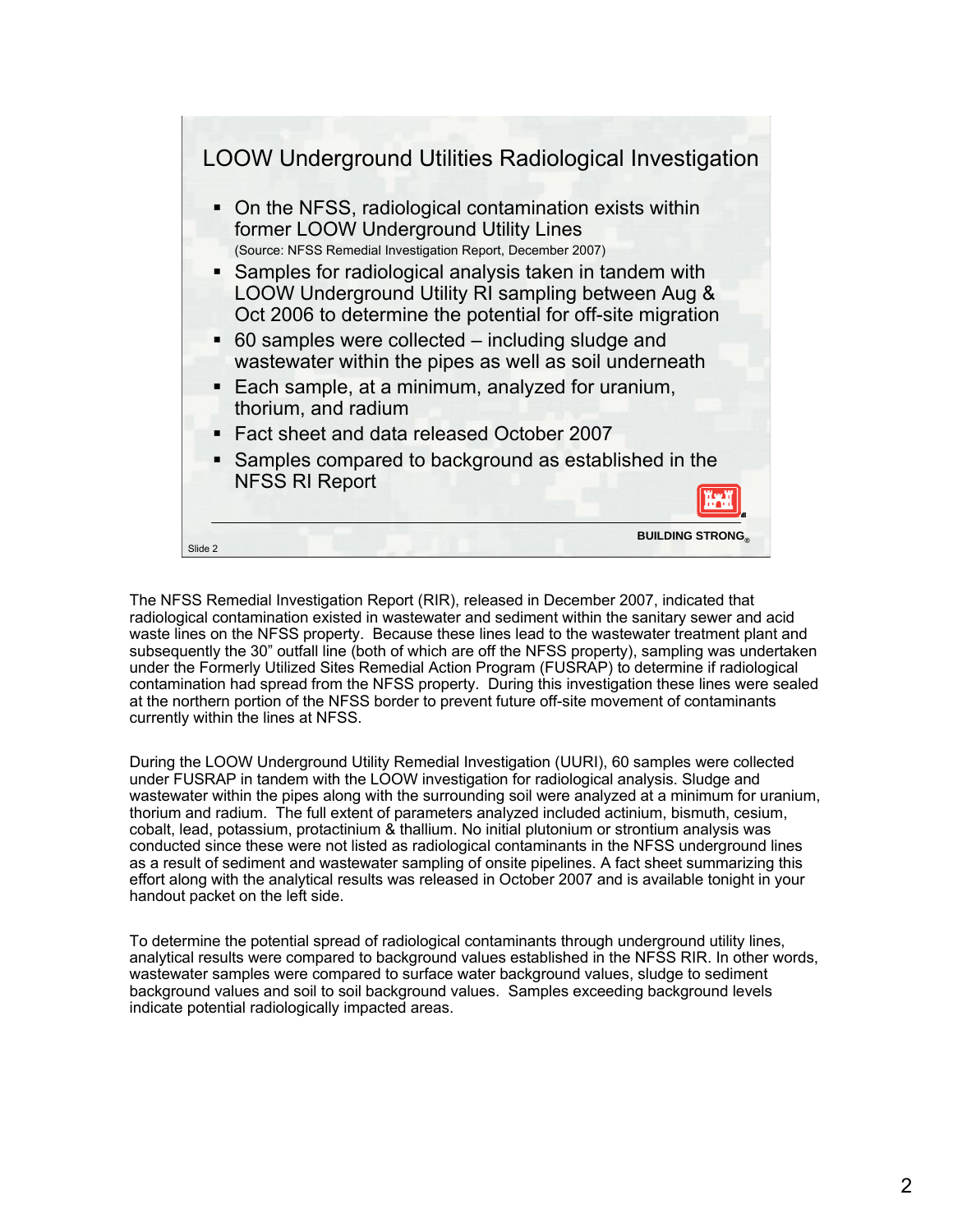

The NFSS Remedial Investigation Report (RIR), released in December 2007, indicated that radiological contamination existed in wastewater and sediment within the sanitary sewer and acid waste lines on the NFSS property. Because these lines lead to the wastewater treatment plant and subsequently the 30" outfall line (both of which are off the NFSS property), sampling was undertaken under the Formerly Utilized Sites Remedial Action Program (FUSRAP) to determine if radiological contamination had spread from the NFSS property. During this investigation these lines were sealed at the northern portion of the NFSS border to prevent future off-site movement of contaminants currently within the lines at NFSS.

During the LOOW Underground Utility Remedial Investigation (UURI), 60 samples were collected under FUSRAP in tandem with the LOOW investigation for radiological analysis. Sludge and wastewater within the pipes along with the surrounding soil were analyzed at a minimum for uranium, thorium and radium. The full extent of parameters analyzed included actinium, bismuth, cesium, cobalt, lead, potassium, protactinium & thallium. No initial plutonium or strontium analysis was conducted since these were not listed as radiological contaminants in the NFSS underground lines as a result of sediment and wastewater sampling of onsite pipelines. A fact sheet summarizing this effort along with the analytical results was released in October 2007 and is available tonight in your handout packet on the left side.

To determine the potential spread of radiological contaminants through underground utility lines, analytical results were compared to background values established in the NFSS RIR. In other words, wastewater samples were compared to surface water background values, sludge to sediment background values and soil to soil background values. Samples exceeding background levels indicate potential radiologically impacted areas.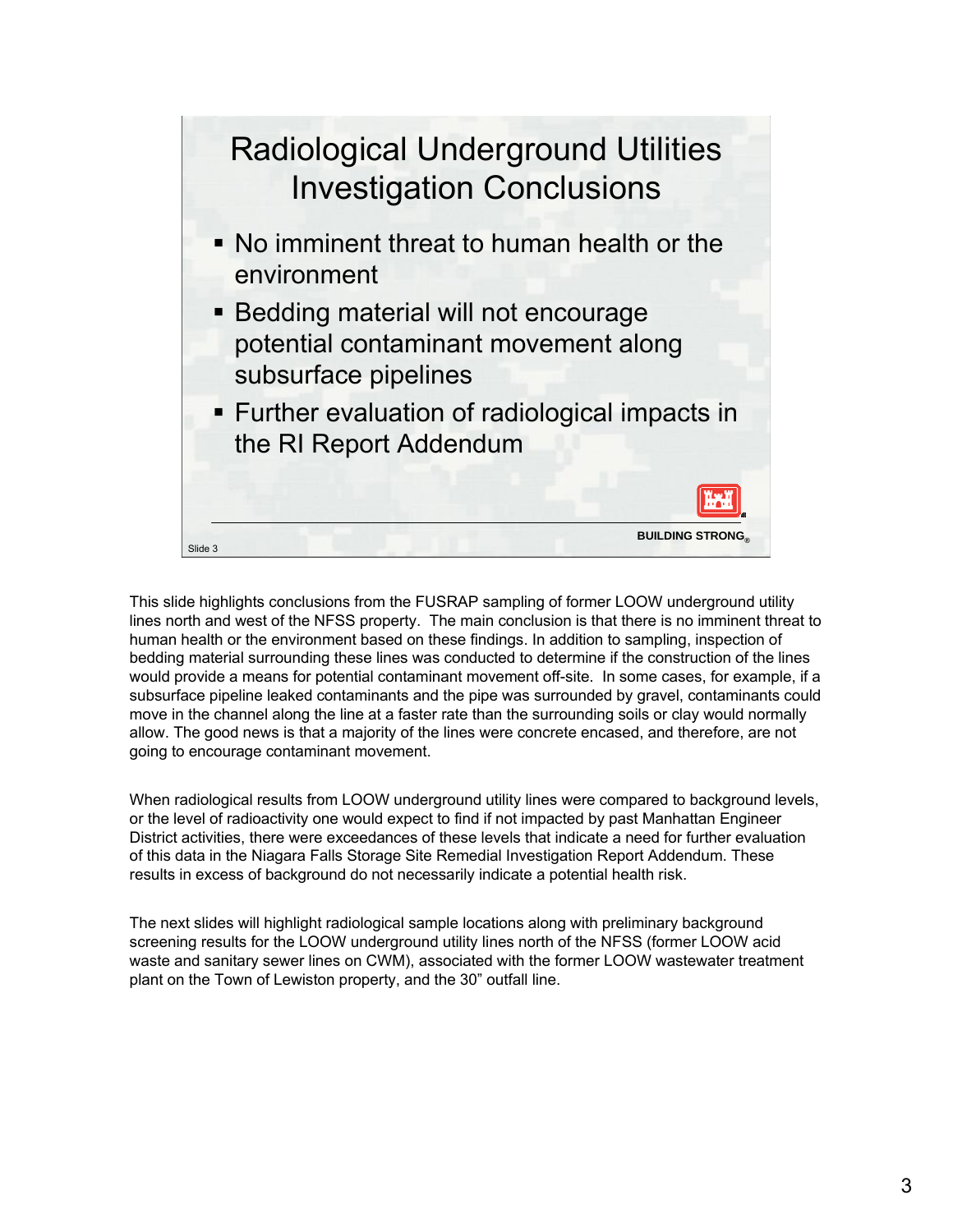

This slide highlights conclusions from the FUSRAP sampling of former LOOW underground utility lines north and west of the NFSS property. The main conclusion is that there is no imminent threat to human health or the environment based on these findings. In addition to sampling, inspection of bedding material surrounding these lines was conducted to determine if the construction of the lines would provide a means for potential contaminant movement off-site. In some cases, for example, if a subsurface pipeline leaked contaminants and the pipe was surrounded by gravel, contaminants could move in the channel along the line at a faster rate than the surrounding soils or clay would normally allow. The good news is that a majority of the lines were concrete encased, and therefore, are not going to encourage contaminant movement.

When radiological results from LOOW underground utility lines were compared to background levels, or the level of radioactivity one would expect to find if not impacted by past Manhattan Engineer District activities, there were exceedances of these levels that indicate a need for further evaluation of this data in the Niagara Falls Storage Site Remedial Investigation Report Addendum. These results in excess of background do not necessarily indicate a potential health risk.

The next slides will highlight radiological sample locations along with preliminary background screening results for the LOOW underground utility lines north of the NFSS (former LOOW acid waste and sanitary sewer lines on CWM), associated with the former LOOW wastewater treatment plant on the Town of Lewiston property, and the 30" outfall line.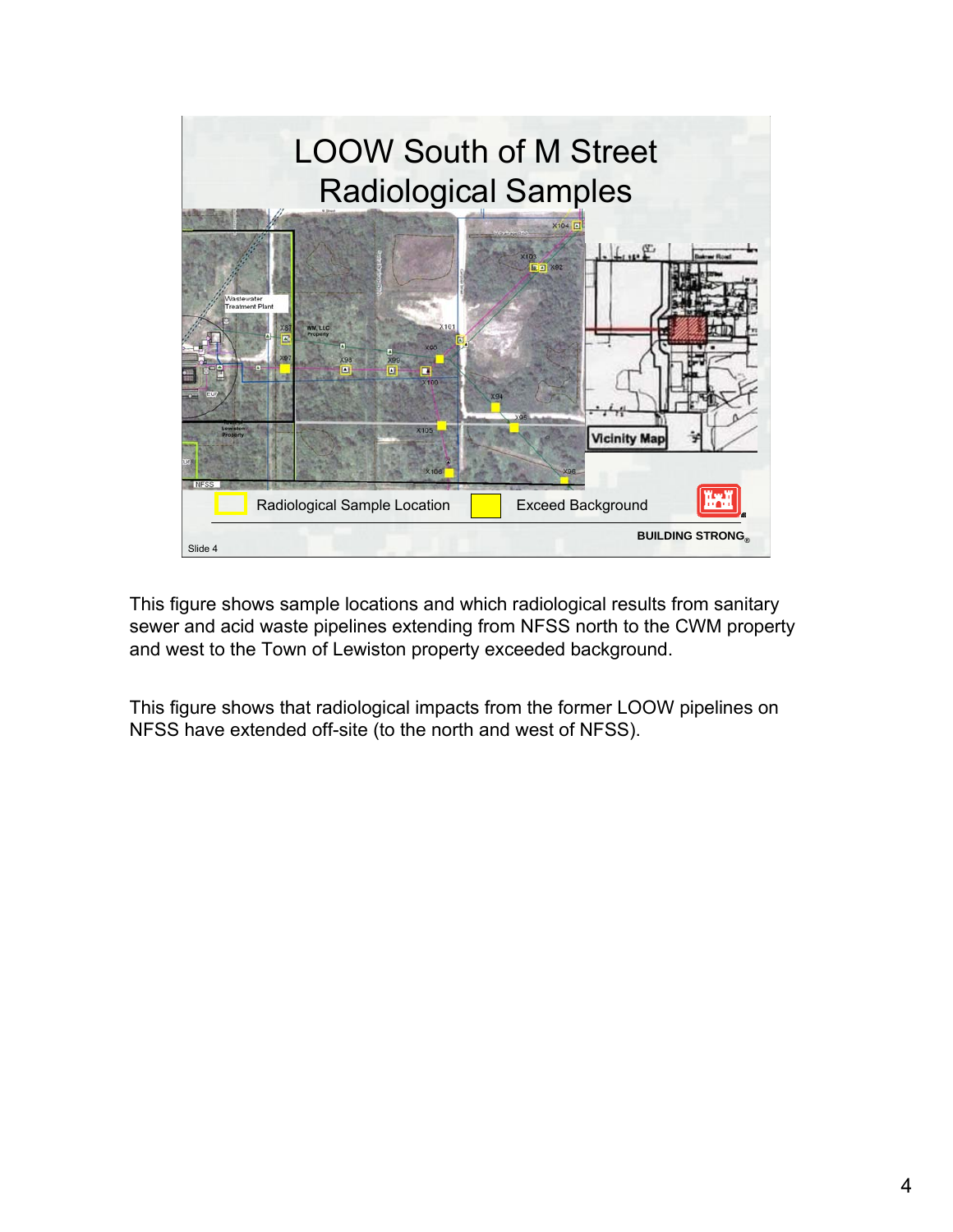

This figure shows sample locations and which radiological results from sanitary sewer and acid waste pipelines extending from NFSS north to the CWM property and west to the Town of Lewiston property exceeded background.

This figure shows that radiological impacts from the former LOOW pipelines on NFSS have extended off-site (to the north and west of NFSS).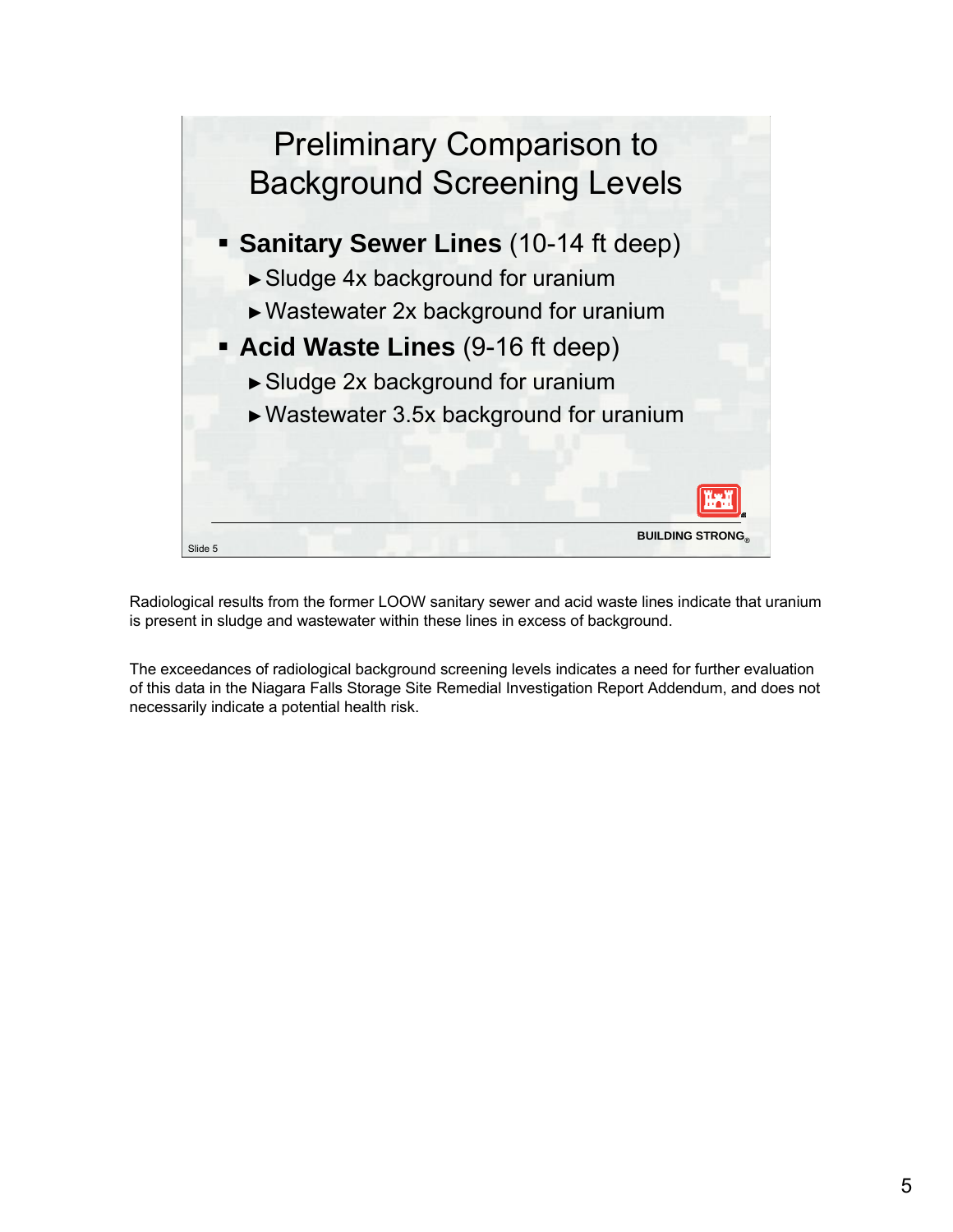

Radiological results from the former LOOW sanitary sewer and acid waste lines indicate that uranium is present in sludge and wastewater within these lines in excess of background.

The exceedances of radiological background screening levels indicates a need for further evaluation of this data in the Niagara Falls Storage Site Remedial Investigation Report Addendum, and does not necessarily indicate a potential health risk.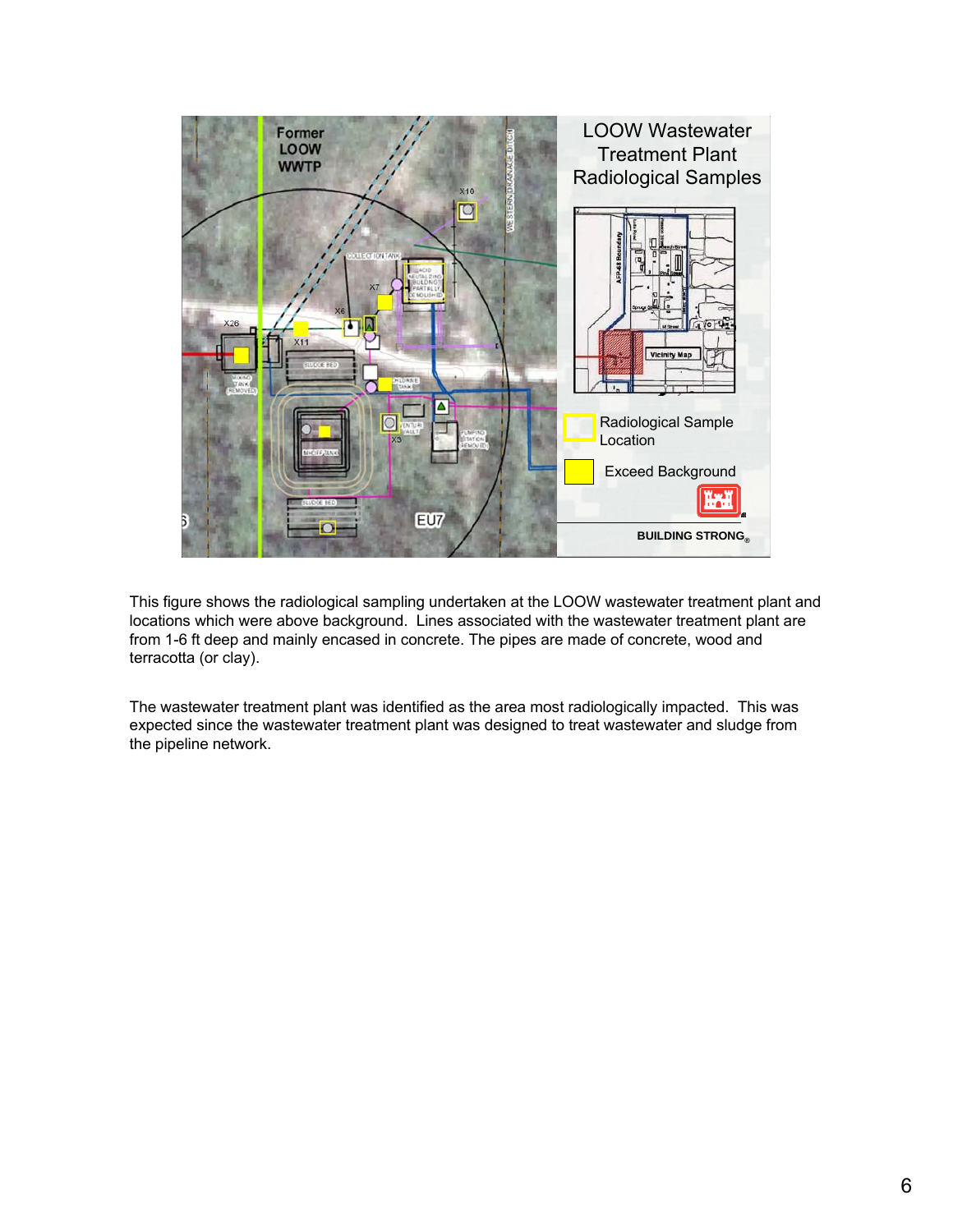

This figure shows the radiological sampling undertaken at the LOOW wastewater treatment plant and locations which were above background. Lines associated with the wastewater treatment plant are from 1-6 ft deep and mainly encased in concrete. The pipes are made of concrete, wood and terracotta (or clay).

The wastewater treatment plant was identified as the area most radiologically impacted. This was expected since the wastewater treatment plant was designed to treat wastewater and sludge from the pipeline network.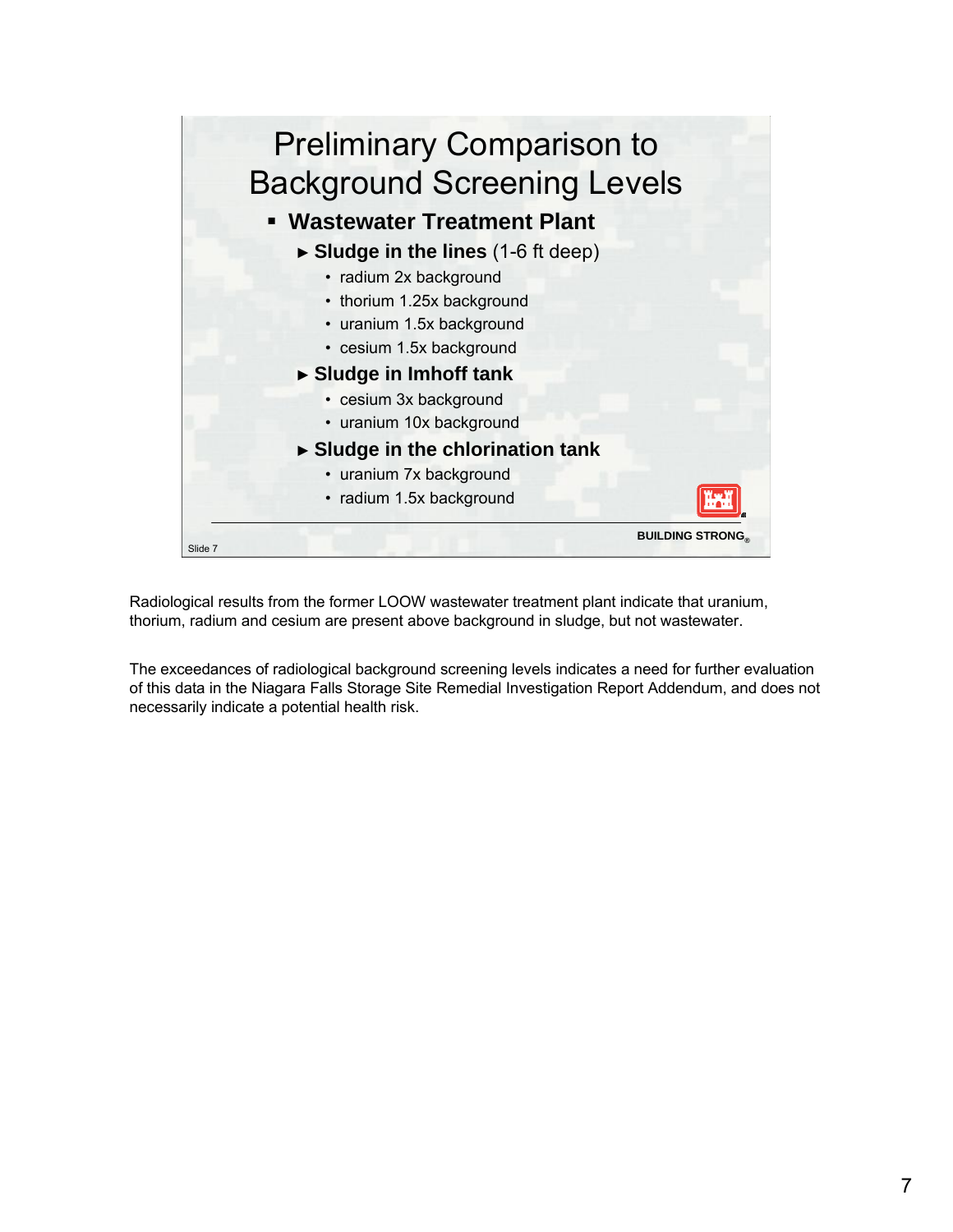

Radiological results from the former LOOW wastewater treatment plant indicate that uranium, thorium, radium and cesium are present above background in sludge, but not wastewater.

The exceedances of radiological background screening levels indicates a need for further evaluation of this data in the Niagara Falls Storage Site Remedial Investigation Report Addendum, and does not necessarily indicate a potential health risk.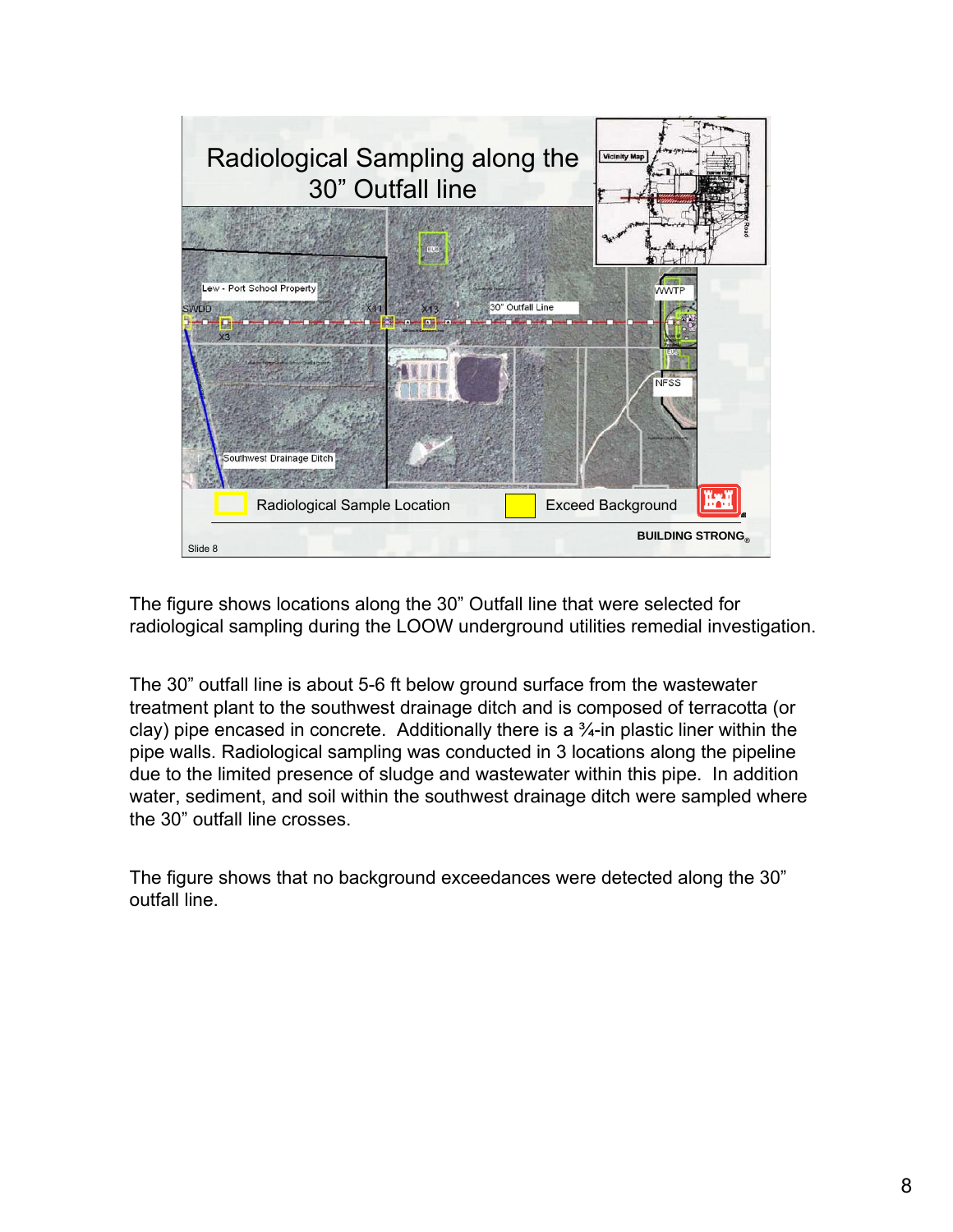

The figure shows locations along the 30" Outfall line that were selected for radiological sampling during the LOOW underground utilities remedial investigation.

The 30" outfall line is about 5-6 ft below ground surface from the wastewater treatment plant to the southwest drainage ditch and is composed of terracotta (or clay) pipe encased in concrete. Additionally there is a  $\frac{3}{4}$ -in plastic liner within the pipe walls. Radiological sampling was conducted in 3 locations along the pipeline due to the limited presence of sludge and wastewater within this pipe. In addition water, sediment, and soil within the southwest drainage ditch were sampled where the 30" outfall line crosses.

The figure shows that no background exceedances were detected along the 30" outfall line.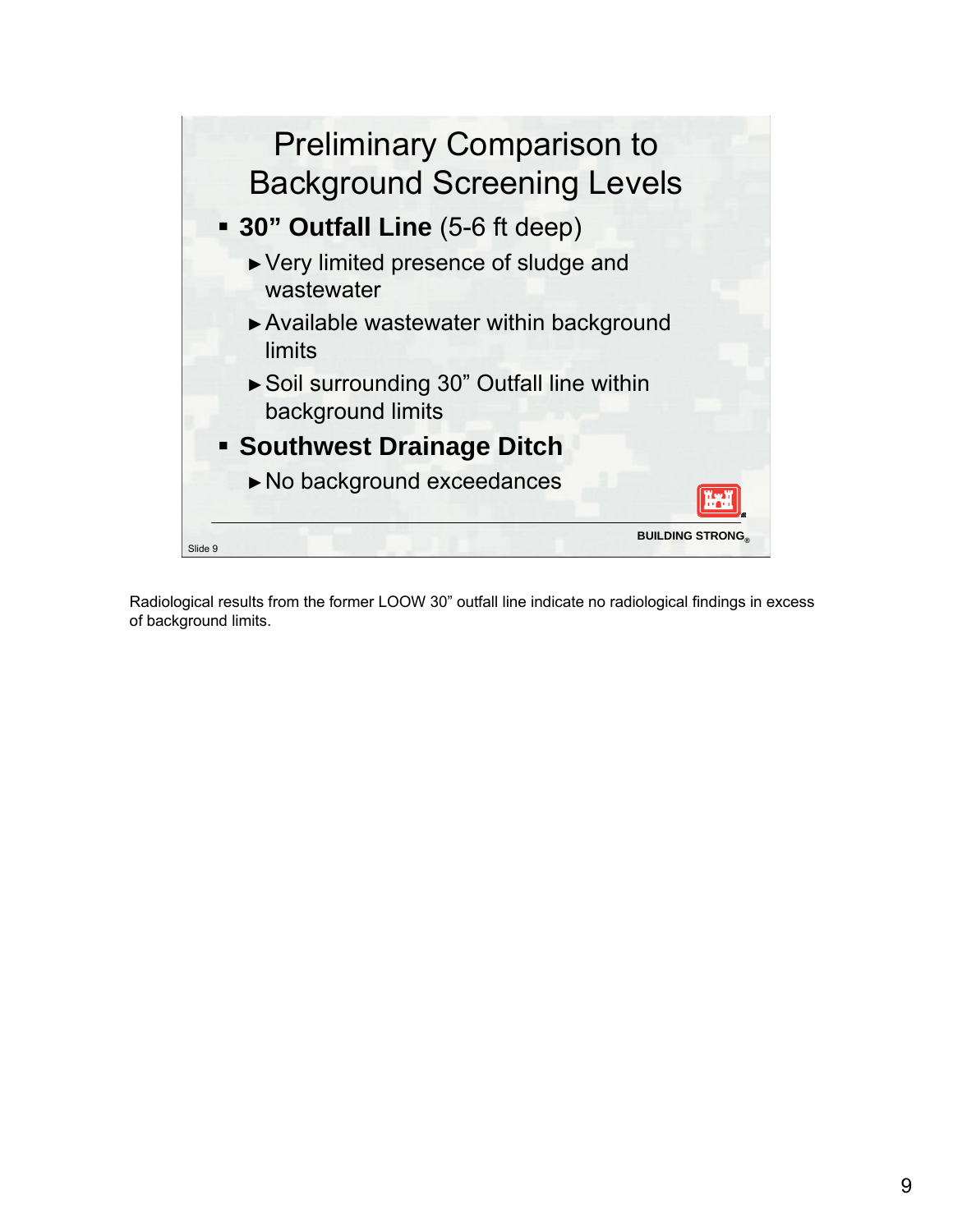

Radiological results from the former LOOW 30" outfall line indicate no radiological findings in excess of background limits.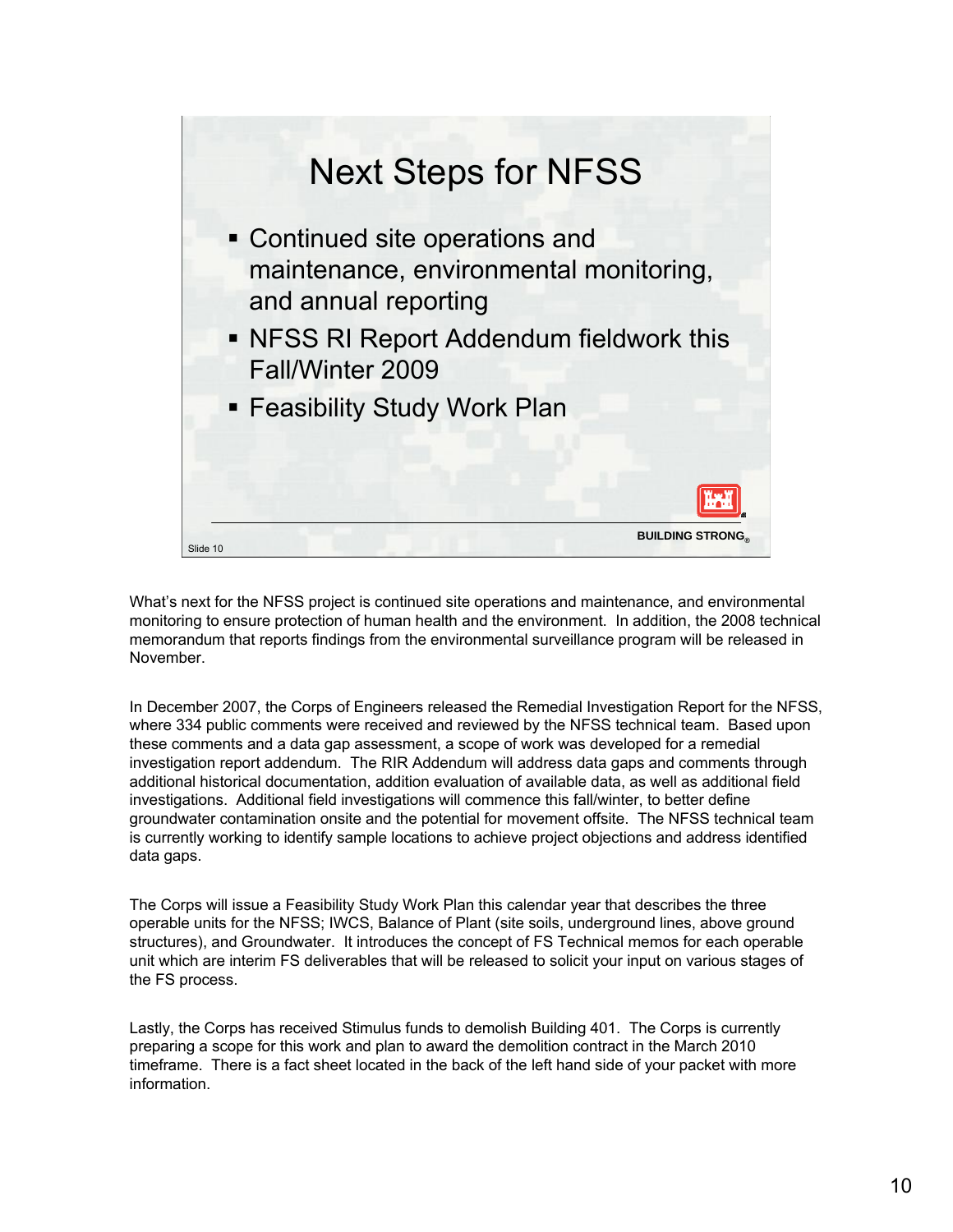

What's next for the NFSS project is continued site operations and maintenance, and environmental monitoring to ensure protection of human health and the environment. In addition, the 2008 technical memorandum that reports findings from the environmental surveillance program will be released in November.

In December 2007, the Corps of Engineers released the Remedial Investigation Report for the NFSS, where 334 public comments were received and reviewed by the NFSS technical team. Based upon these comments and a data gap assessment, a scope of work was developed for a remedial investigation report addendum. The RIR Addendum will address data gaps and comments through additional historical documentation, addition evaluation of available data, as well as additional field investigations. Additional field investigations will commence this fall/winter, to better define groundwater contamination onsite and the potential for movement offsite. The NFSS technical team is currently working to identify sample locations to achieve project objections and address identified data gaps.

The Corps will issue a Feasibility Study Work Plan this calendar year that describes the three operable units for the NFSS; IWCS, Balance of Plant (site soils, underground lines, above ground structures), and Groundwater. It introduces the concept of FS Technical memos for each operable unit which are interim FS deliverables that will be released to solicit your input on various stages of the FS process.

Lastly, the Corps has received Stimulus funds to demolish Building 401. The Corps is currently preparing a scope for this work and plan to award the demolition contract in the March 2010 timeframe. There is a fact sheet located in the back of the left hand side of your packet with more information.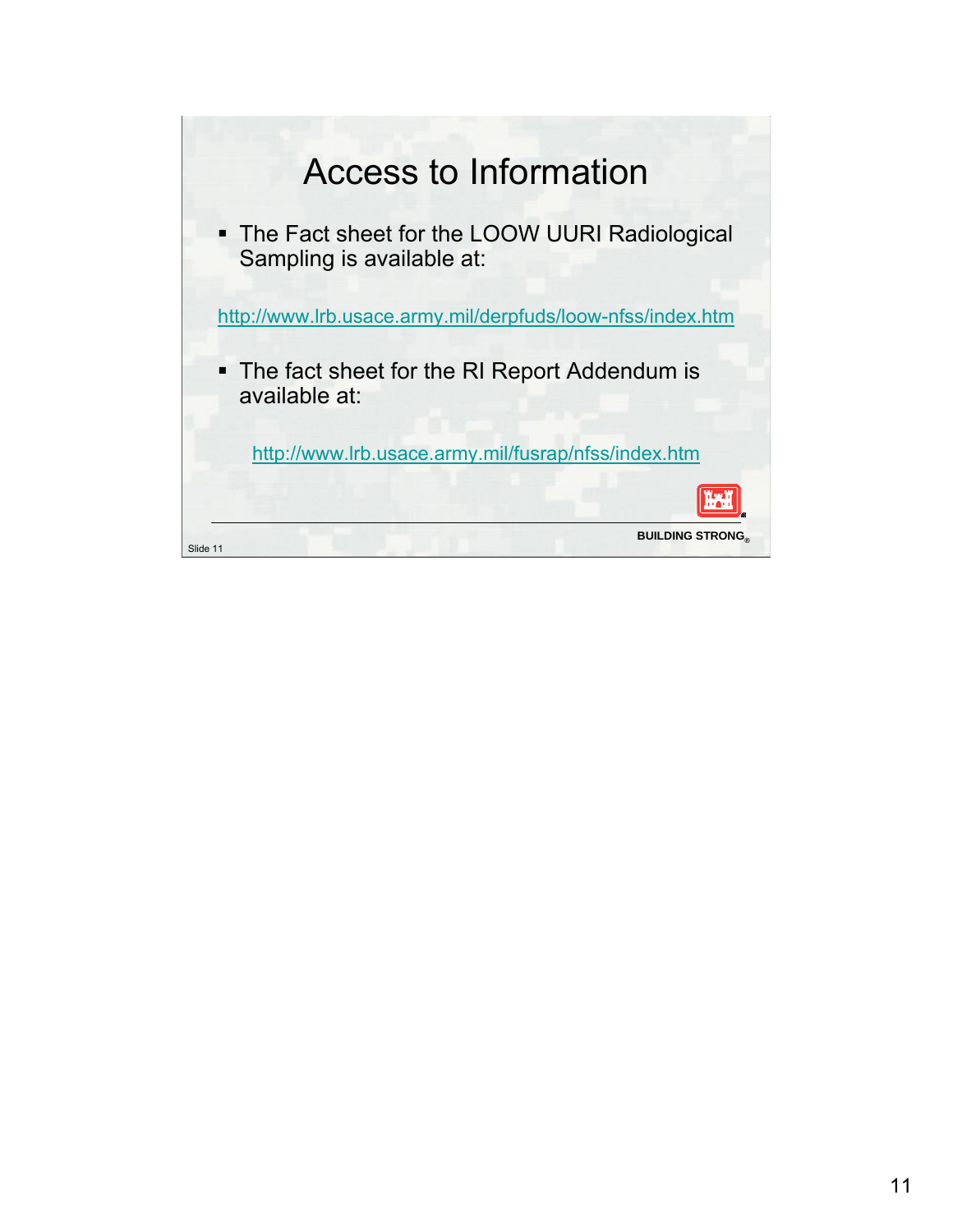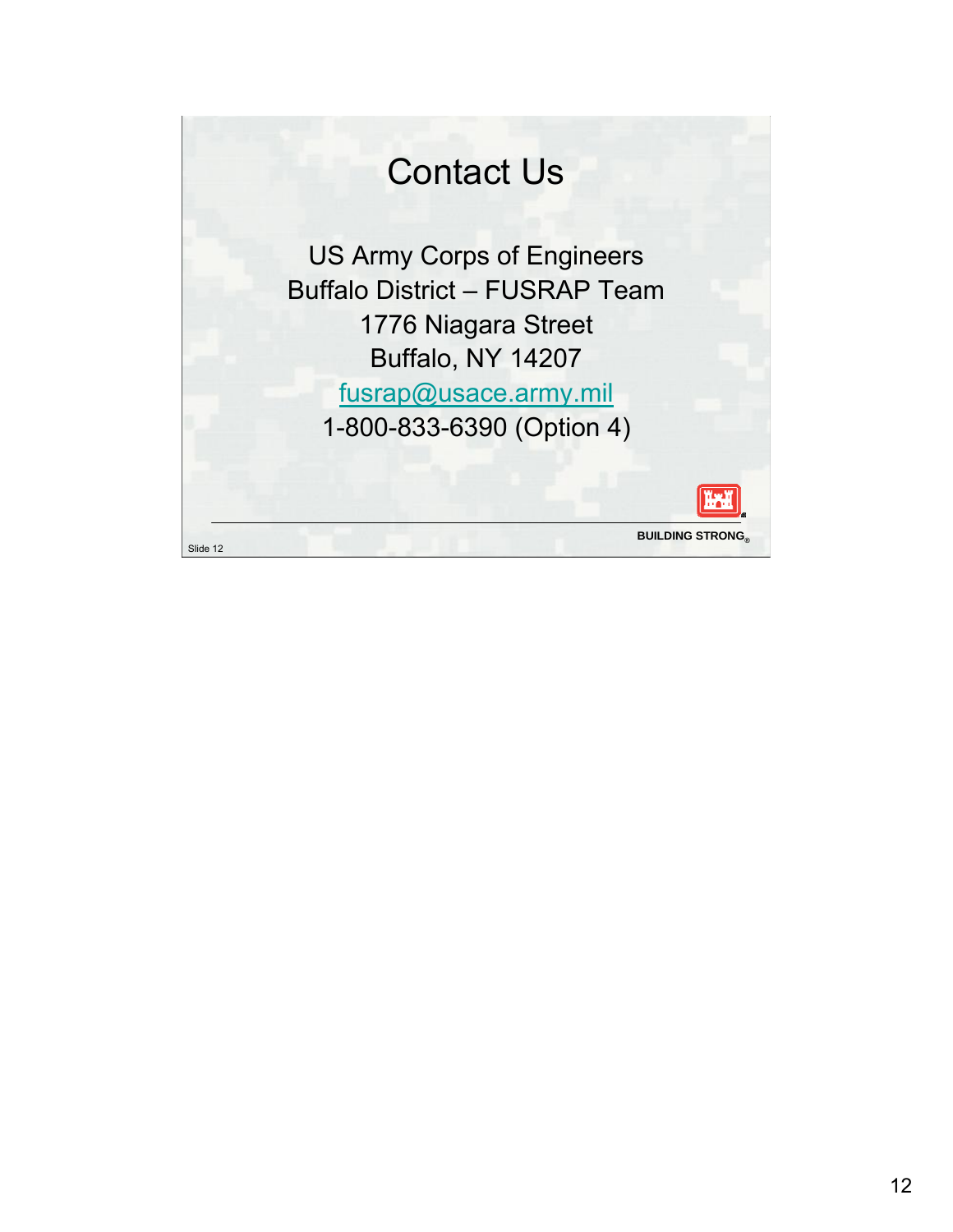